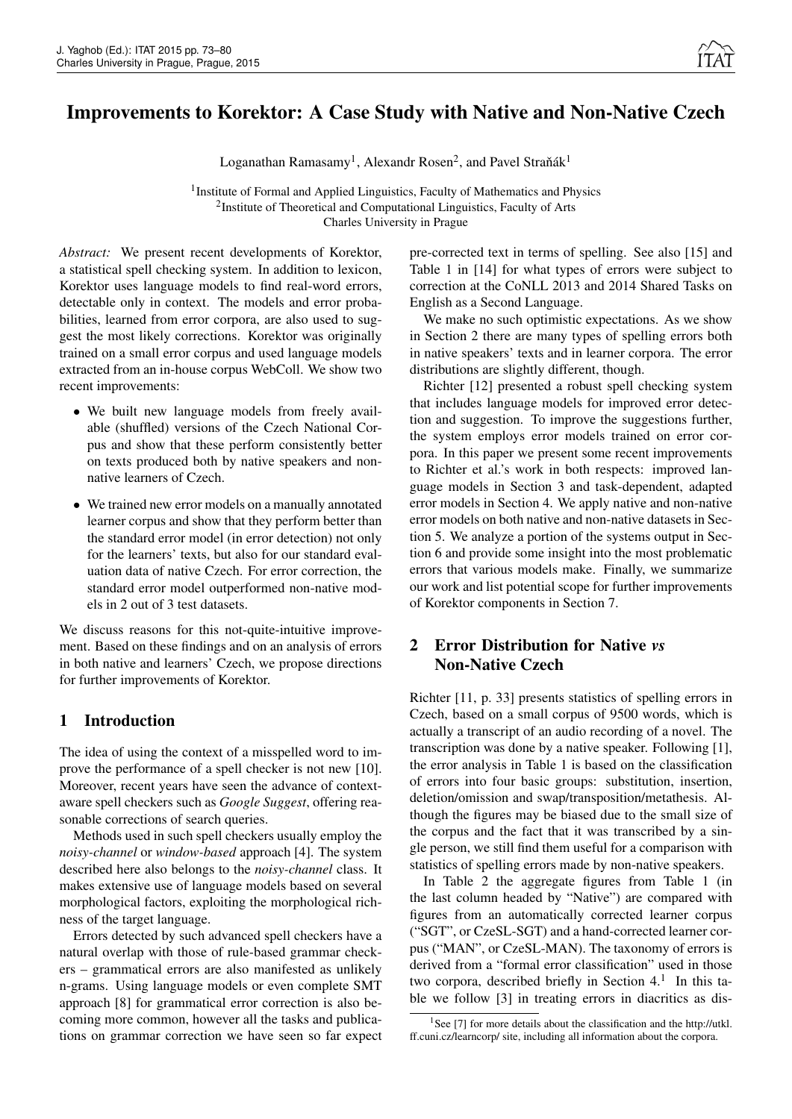# Improvements to Korektor: A Case Study with Native and Non-Native Czech

Loganathan Ramasamy<sup>1</sup>, Alexandr Rosen<sup>2</sup>, and Pavel Straňák<sup>1</sup>

<sup>1</sup> Institute of Formal and Applied Linguistics, Faculty of Mathematics and Physics <sup>2</sup>Institute of Theoretical and Computational Linguistics, Faculty of Arts Charles University in Prague

*Abstract:* We present recent developments of Korektor, a statistical spell checking system. In addition to lexicon, Korektor uses language models to find real-word errors, detectable only in context. The models and error probabilities, learned from error corpora, are also used to suggest the most likely corrections. Korektor was originally trained on a small error corpus and used language models extracted from an in-house corpus WebColl. We show two recent improvements:

- We built new language models from freely available (shuffled) versions of the Czech National Corpus and show that these perform consistently better on texts produced both by native speakers and nonnative learners of Czech.
- We trained new error models on a manually annotated learner corpus and show that they perform better than the standard error model (in error detection) not only for the learners' texts, but also for our standard evaluation data of native Czech. For error correction, the standard error model outperformed non-native models in 2 out of 3 test datasets.

We discuss reasons for this not-quite-intuitive improvement. Based on these findings and on an analysis of errors in both native and learners' Czech, we propose directions for further improvements of Korektor.

### 1 Introduction

The idea of using the context of a misspelled word to improve the performance of a spell checker is not new [10]. Moreover, recent years have seen the advance of contextaware spell checkers such as *Google Suggest*, offering reasonable corrections of search queries.

Methods used in such spell checkers usually employ the *noisy-channel* or *window-based* approach [4]. The system described here also belongs to the *noisy-channel* class. It makes extensive use of language models based on several morphological factors, exploiting the morphological richness of the target language.

Errors detected by such advanced spell checkers have a natural overlap with those of rule-based grammar checkers – grammatical errors are also manifested as unlikely n-grams. Using language models or even complete SMT approach [8] for grammatical error correction is also becoming more common, however all the tasks and publications on grammar correction we have seen so far expect pre-corrected text in terms of spelling. See also [15] and Table 1 in [14] for what types of errors were subject to correction at the CoNLL 2013 and 2014 Shared Tasks on English as a Second Language.

We make no such optimistic expectations. As we show in Section 2 there are many types of spelling errors both in native speakers' texts and in learner corpora. The error distributions are slightly different, though.

Richter [12] presented a robust spell checking system that includes language models for improved error detection and suggestion. To improve the suggestions further, the system employs error models trained on error corpora. In this paper we present some recent improvements to Richter et al.'s work in both respects: improved language models in Section 3 and task-dependent, adapted error models in Section 4. We apply native and non-native error models on both native and non-native datasets in Section 5. We analyze a portion of the systems output in Section 6 and provide some insight into the most problematic errors that various models make. Finally, we summarize our work and list potential scope for further improvements of Korektor components in Section 7.

## 2 Error Distribution for Native *vs* Non-Native Czech

Richter [11, p. 33] presents statistics of spelling errors in Czech, based on a small corpus of 9500 words, which is actually a transcript of an audio recording of a novel. The transcription was done by a native speaker. Following [1], the error analysis in Table 1 is based on the classification of errors into four basic groups: substitution, insertion, deletion/omission and swap/transposition/metathesis. Although the figures may be biased due to the small size of the corpus and the fact that it was transcribed by a single person, we still find them useful for a comparison with statistics of spelling errors made by non-native speakers.

In Table 2 the aggregate figures from Table 1 (in the last column headed by "Native") are compared with figures from an automatically corrected learner corpus ("SGT", or CzeSL-SGT) and a hand-corrected learner corpus ("MAN", or CzeSL-MAN). The taxonomy of errors is derived from a "formal error classification" used in those two corpora, described briefly in Section  $4<sup>1</sup>$  In this table we follow [3] in treating errors in diacritics as dis-

<sup>&</sup>lt;sup>1</sup>See [7] for more details about the classification and the http://utkl. ff.cuni.cz/learncorp/ site, including all information about the corpora.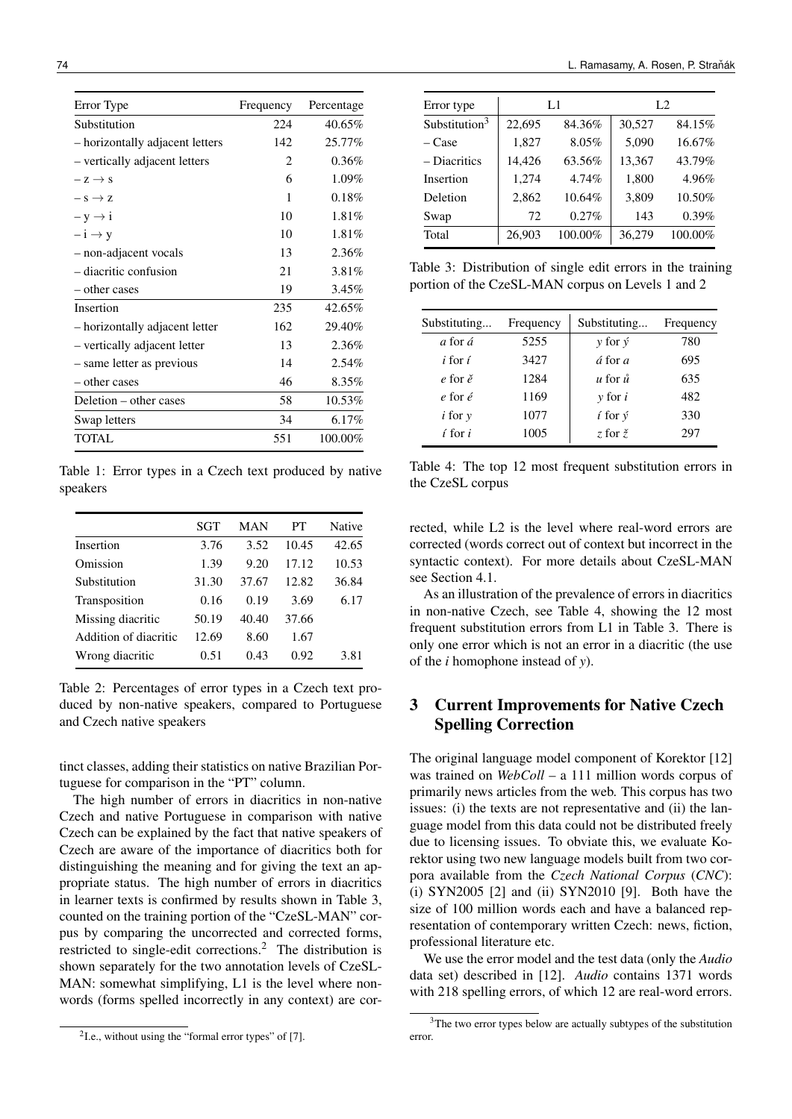| Error Type                      | Frequency      | Percentage |
|---------------------------------|----------------|------------|
| Substitution                    | 224            | 40.65%     |
| - horizontally adjacent letters | 142            | 25.77%     |
| - vertically adjacent letters   | $\mathfrak{D}$ | $0.36\%$   |
| $-z \rightarrow s$              | 6              | 1.09%      |
| $- s \rightarrow z$             | 1              | 0.18%      |
| $-y \rightarrow i$              | 10             | 1.81%      |
| $- i \rightarrow y$             | 10             | 1.81%      |
| - non-adjacent vocals           | 13             | 2.36%      |
| - diacritic confusion           | 21             | 3.81%      |
| – other cases                   | 19             | 3.45%      |
| Insertion                       | 235            | 42.65%     |
| - horizontally adjacent letter  | 162            | 29.40%     |
| - vertically adjacent letter    | 13             | 2.36%      |
| - same letter as previous       | 14             | $2.54\%$   |
| – other cases                   | 46             | $8.35\%$   |
| Deletion – other cases          | 58             | 10.53%     |
| Swap letters                    | 34             | 6.17%      |
| <b>TOTAL</b>                    | 551            | 100.00%    |

Table 1: Error types in a Czech text produced by native speakers

|                       | SGT   | MAN   | PТ    | Native |
|-----------------------|-------|-------|-------|--------|
| Insertion             | 3.76  | 3.52  | 10.45 | 42.65  |
| Omission              | 1.39  | 9.20  | 17.12 | 10.53  |
| Substitution          | 31.30 | 37.67 | 12.82 | 36.84  |
| Transposition         | 0.16  | 0.19  | 3.69  | 6.17   |
| Missing diacritic     | 50.19 | 40.40 | 37.66 |        |
| Addition of diacritic | 12.69 | 8.60  | 1.67  |        |
| Wrong diacritic       | 0.51  | 0.43  | 0.92  | 3.81   |

Table 2: Percentages of error types in a Czech text produced by non-native speakers, compared to Portuguese and Czech native speakers

tinct classes, adding their statistics on native Brazilian Portuguese for comparison in the "PT" column.

The high number of errors in diacritics in non-native Czech and native Portuguese in comparison with native Czech can be explained by the fact that native speakers of Czech are aware of the importance of diacritics both for distinguishing the meaning and for giving the text an appropriate status. The high number of errors in diacritics in learner texts is confirmed by results shown in Table 3, counted on the training portion of the "CzeSL-MAN" corpus by comparing the uncorrected and corrected forms, restricted to single-edit corrections.<sup>2</sup> The distribution is shown separately for the two annotation levels of CzeSL-MAN: somewhat simplifying, L1 is the level where nonwords (forms spelled incorrectly in any context) are cor-

| Error type                |        | L1         | L2     |         |  |
|---------------------------|--------|------------|--------|---------|--|
| Substitution <sup>3</sup> | 22,695 | 84.36%     | 30,527 | 84.15%  |  |
| – Case                    | 1,827  | 8.05%      | 5,090  | 16.67%  |  |
| - Diacritics              | 14,426 | 63.56%     | 13,367 | 43.79%  |  |
| Insertion                 | 1,274  | 4.74%      | 1,800  | 4.96%   |  |
| Deletion                  | 2,862  | 10.64%     | 3,809  | 10.50%  |  |
| Swap                      | 72     | 0.27%      | 143    | 0.39%   |  |
| Total                     | 26,903 | $100.00\%$ | 36,279 | 100.00% |  |

Table 3: Distribution of single edit errors in the training portion of the CzeSL-MAN corpus on Levels 1 and 2

| Substituting          | Frequency | Substituting                  | Frequency |
|-----------------------|-----------|-------------------------------|-----------|
| a for á               | 5255      | $\gamma$ for $\acute{\gamma}$ | 780       |
| <i>i</i> for <i>í</i> | 3427      | $\acute{a}$ for $a$           | 695       |
| $e$ for $\check{e}$   | 1284      | $\mu$ for $\mathring{u}$      | 635       |
| e for é               | 1169      | $v$ for $i$                   | 482       |
| $i$ for $y$           | 1077      | $\hat{i}$ for $\hat{v}$       | 330       |
| í for i               | 1005      | z for $\check{z}$             | 297       |

Table 4: The top 12 most frequent substitution errors in the CzeSL corpus

rected, while L2 is the level where real-word errors are corrected (words correct out of context but incorrect in the syntactic context). For more details about CzeSL-MAN see Section 4.1.

As an illustration of the prevalence of errors in diacritics in non-native Czech, see Table 4, showing the 12 most frequent substitution errors from L1 in Table 3. There is only one error which is not an error in a diacritic (the use of the *i* homophone instead of *y*).

## 3 Current Improvements for Native Czech Spelling Correction

The original language model component of Korektor [12] was trained on *WebColl* – a 111 million words corpus of primarily news articles from the web. This corpus has two issues: (i) the texts are not representative and (ii) the language model from this data could not be distributed freely due to licensing issues. To obviate this, we evaluate Korektor using two new language models built from two corpora available from the *Czech National Corpus* (*CNC*): (i) SYN2005 [2] and (ii) SYN2010 [9]. Both have the size of 100 million words each and have a balanced representation of contemporary written Czech: news, fiction, professional literature etc.

We use the error model and the test data (only the *Audio* data set) described in [12]. *Audio* contains 1371 words with 218 spelling errors, of which 12 are real-word errors.

 $2$ I.e., without using the "formal error types" of [7].

<sup>&</sup>lt;sup>3</sup>The two error types below are actually subtypes of the substitution error.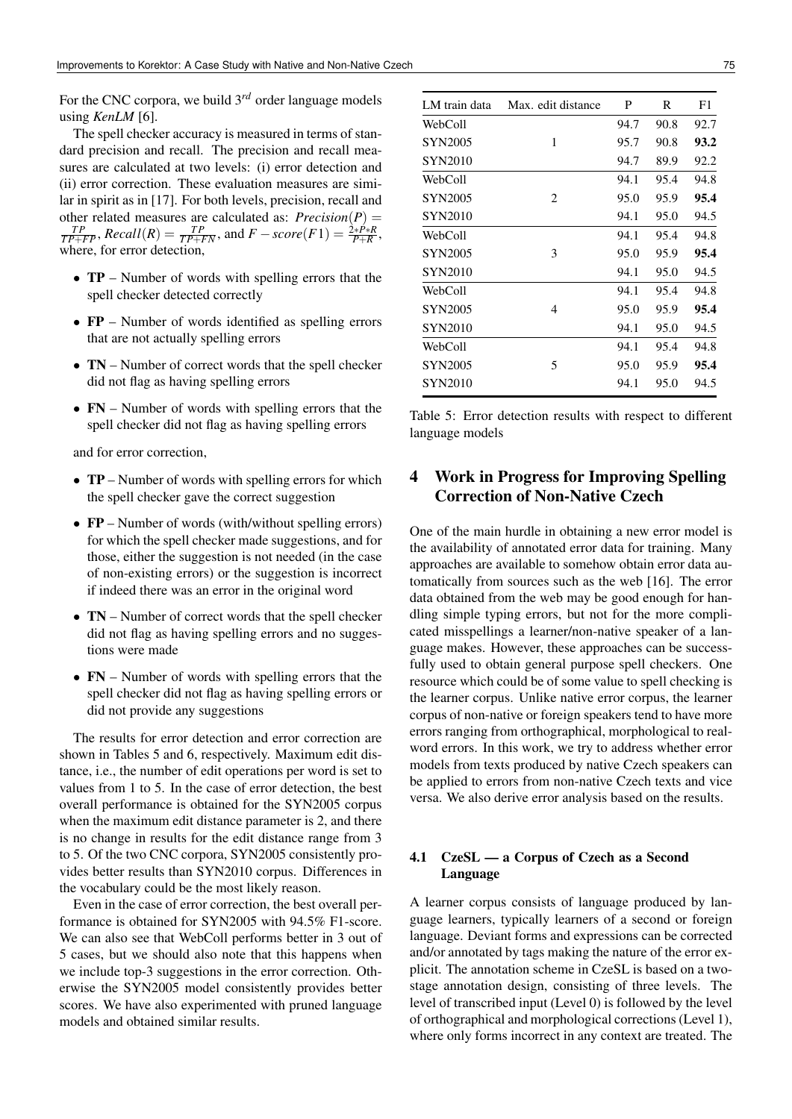For the CNC corpora, we build 3*rd* order language models using *KenLM* [6].

The spell checker accuracy is measured in terms of standard precision and recall. The precision and recall measures are calculated at two levels: (i) error detection and (ii) error correction. These evaluation measures are similar in spirit as in [17]. For both levels, precision, recall and other related measures are calculated as:  $Precision(P) = \frac{TP}{TP + FP}$ ,  $Recall(R) = \frac{TP}{TP + FN}$ , and  $F - score(F1) = \frac{2*P+R}{P+R}$ , where, for error detection,

- **TP** Number of words with spelling errors that the spell checker detected correctly
- FP Number of words identified as spelling errors that are not actually spelling errors
- TN Number of correct words that the spell checker did not flag as having spelling errors
- FN Number of words with spelling errors that the spell checker did not flag as having spelling errors

and for error correction,

- **TP** Number of words with spelling errors for which the spell checker gave the correct suggestion
- FP Number of words (with/without spelling errors) for which the spell checker made suggestions, and for those, either the suggestion is not needed (in the case of non-existing errors) or the suggestion is incorrect if indeed there was an error in the original word
- TN Number of correct words that the spell checker did not flag as having spelling errors and no suggestions were made
- FN Number of words with spelling errors that the spell checker did not flag as having spelling errors or did not provide any suggestions

The results for error detection and error correction are shown in Tables 5 and 6, respectively. Maximum edit distance, i.e., the number of edit operations per word is set to values from 1 to 5. In the case of error detection, the best overall performance is obtained for the SYN2005 corpus when the maximum edit distance parameter is 2, and there is no change in results for the edit distance range from 3 to 5. Of the two CNC corpora, SYN2005 consistently provides better results than SYN2010 corpus. Differences in the vocabulary could be the most likely reason.

Even in the case of error correction, the best overall performance is obtained for SYN2005 with 94.5% F1-score. We can also see that WebColl performs better in 3 out of 5 cases, but we should also note that this happens when we include top-3 suggestions in the error correction. Otherwise the SYN2005 model consistently provides better scores. We have also experimented with pruned language models and obtained similar results.

| LM train data  | Max. edit distance | P    | R    | F1   |
|----------------|--------------------|------|------|------|
| WebColl        |                    | 94.7 | 90.8 | 92.7 |
| <b>SYN2005</b> | 1                  | 95.7 | 90.8 | 93.2 |
| <b>SYN2010</b> |                    | 94.7 | 89.9 | 92.2 |
| WebColl        |                    | 94.1 | 95.4 | 94.8 |
| <b>SYN2005</b> | 2                  | 95.0 | 95.9 | 95.4 |
| SYN2010        |                    | 94.1 | 95.0 | 94.5 |
| WebColl        |                    | 94.1 | 95.4 | 94.8 |
| <b>SYN2005</b> | 3                  | 95.0 | 95.9 | 95.4 |
| <b>SYN2010</b> |                    | 94.1 | 95.0 | 94.5 |
| WebColl        |                    | 94.1 | 95.4 | 94.8 |
| <b>SYN2005</b> | 4                  | 95.0 | 95.9 | 95.4 |
| <b>SYN2010</b> |                    | 94.1 | 95.0 | 94.5 |
| WebColl        |                    | 94.1 | 95.4 | 94.8 |
| <b>SYN2005</b> | 5                  | 95.0 | 95.9 | 95.4 |
| <b>SYN2010</b> |                    | 94.1 | 95.0 | 94.5 |

Table 5: Error detection results with respect to different language models

## 4 Work in Progress for Improving Spelling Correction of Non-Native Czech

One of the main hurdle in obtaining a new error model is the availability of annotated error data for training. Many approaches are available to somehow obtain error data automatically from sources such as the web [16]. The error data obtained from the web may be good enough for handling simple typing errors, but not for the more complicated misspellings a learner/non-native speaker of a language makes. However, these approaches can be successfully used to obtain general purpose spell checkers. One resource which could be of some value to spell checking is the learner corpus. Unlike native error corpus, the learner corpus of non-native or foreign speakers tend to have more errors ranging from orthographical, morphological to realword errors. In this work, we try to address whether error models from texts produced by native Czech speakers can be applied to errors from non-native Czech texts and vice versa. We also derive error analysis based on the results.

### 4.1 CzeSL — a Corpus of Czech as a Second Language

A learner corpus consists of language produced by language learners, typically learners of a second or foreign language. Deviant forms and expressions can be corrected and/or annotated by tags making the nature of the error explicit. The annotation scheme in CzeSL is based on a twostage annotation design, consisting of three levels. The level of transcribed input (Level 0) is followed by the level of orthographical and morphological corrections (Level 1), where only forms incorrect in any context are treated. The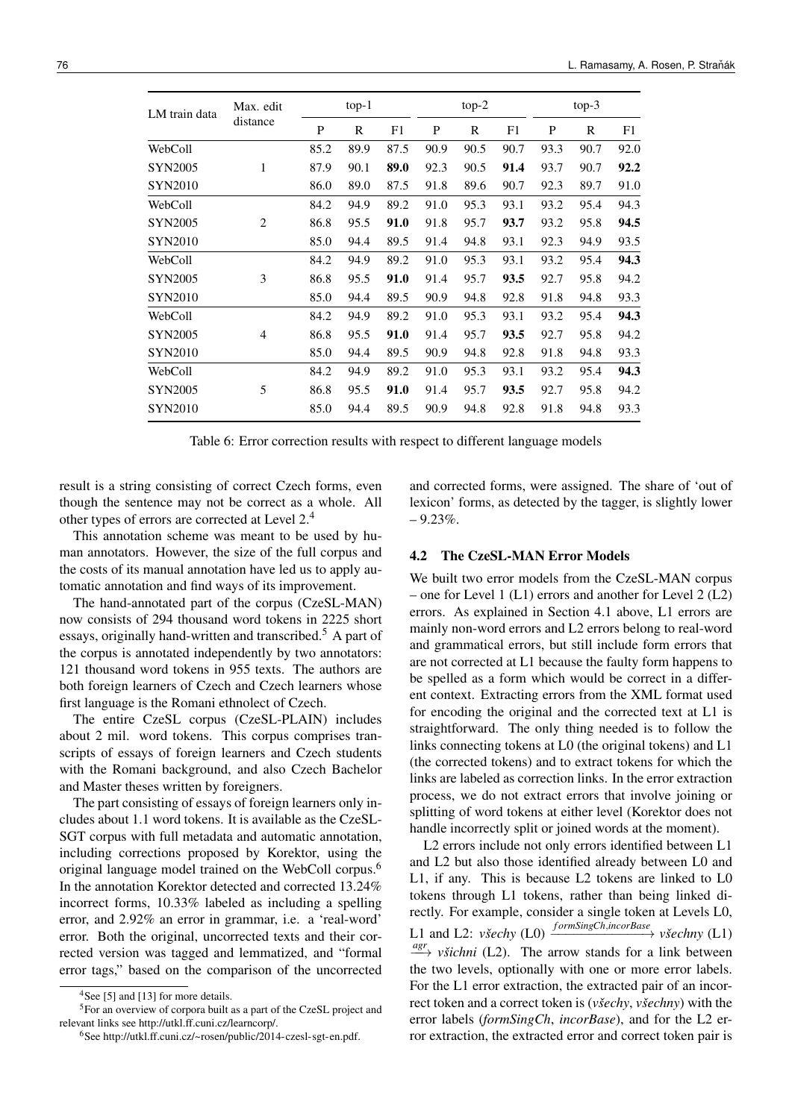| LM train data  | Max. edit      | $top-1$ |      |      | $top-2$ |      |      | $top-3$ |      |      |
|----------------|----------------|---------|------|------|---------|------|------|---------|------|------|
|                | distance       | P       | R    | F1   | P<br>R  |      | F1   | P       | R    | F1   |
| WebColl        |                | 85.2    | 89.9 | 87.5 | 90.9    | 90.5 | 90.7 | 93.3    | 90.7 | 92.0 |
| <b>SYN2005</b> | 1              | 87.9    | 90.1 | 89.0 | 92.3    | 90.5 | 91.4 | 93.7    | 90.7 | 92.2 |
| <b>SYN2010</b> |                | 86.0    | 89.0 | 87.5 | 91.8    | 89.6 | 90.7 | 92.3    | 89.7 | 91.0 |
| WebColl        |                | 84.2    | 94.9 | 89.2 | 91.0    | 95.3 | 93.1 | 93.2    | 95.4 | 94.3 |
| <b>SYN2005</b> | $\overline{2}$ | 86.8    | 95.5 | 91.0 | 91.8    | 95.7 | 93.7 | 93.2    | 95.8 | 94.5 |
| <b>SYN2010</b> |                | 85.0    | 94.4 | 89.5 | 91.4    | 94.8 | 93.1 | 92.3    | 94.9 | 93.5 |
| WebColl        |                | 84.2    | 94.9 | 89.2 | 91.0    | 95.3 | 93.1 | 93.2    | 95.4 | 94.3 |
| <b>SYN2005</b> | 3              | 86.8    | 95.5 | 91.0 | 91.4    | 95.7 | 93.5 | 92.7    | 95.8 | 94.2 |
| <b>SYN2010</b> |                | 85.0    | 94.4 | 89.5 | 90.9    | 94.8 | 92.8 | 91.8    | 94.8 | 93.3 |
| WebColl        |                | 84.2    | 94.9 | 89.2 | 91.0    | 95.3 | 93.1 | 93.2    | 95.4 | 94.3 |
| <b>SYN2005</b> | $\overline{4}$ | 86.8    | 95.5 | 91.0 | 91.4    | 95.7 | 93.5 | 92.7    | 95.8 | 94.2 |
| <b>SYN2010</b> |                | 85.0    | 94.4 | 89.5 | 90.9    | 94.8 | 92.8 | 91.8    | 94.8 | 93.3 |
| WebColl        |                | 84.2    | 94.9 | 89.2 | 91.0    | 95.3 | 93.1 | 93.2    | 95.4 | 94.3 |
| <b>SYN2005</b> | 5              | 86.8    | 95.5 | 91.0 | 91.4    | 95.7 | 93.5 | 92.7    | 95.8 | 94.2 |
| <b>SYN2010</b> |                | 85.0    | 94.4 | 89.5 | 90.9    | 94.8 | 92.8 | 91.8    | 94.8 | 93.3 |

Table 6: Error correction results with respect to different language models

result is a string consisting of correct Czech forms, even though the sentence may not be correct as a whole. All other types of errors are corrected at Level 2.<sup>4</sup>

This annotation scheme was meant to be used by human annotators. However, the size of the full corpus and the costs of its manual annotation have led us to apply automatic annotation and find ways of its improvement.

The hand-annotated part of the corpus (CzeSL-MAN) now consists of 294 thousand word tokens in 2225 short essays, originally hand-written and transcribed.<sup>5</sup> A part of the corpus is annotated independently by two annotators: 121 thousand word tokens in 955 texts. The authors are both foreign learners of Czech and Czech learners whose first language is the Romani ethnolect of Czech.

The entire CzeSL corpus (CzeSL-PLAIN) includes about 2 mil. word tokens. This corpus comprises transcripts of essays of foreign learners and Czech students with the Romani background, and also Czech Bachelor and Master theses written by foreigners.

The part consisting of essays of foreign learners only includes about 1.1 word tokens. It is available as the CzeSL-SGT corpus with full metadata and automatic annotation, including corrections proposed by Korektor, using the original language model trained on the WebColl corpus.<sup>6</sup> In the annotation Korektor detected and corrected 13.24% incorrect forms, 10.33% labeled as including a spelling error, and 2.92% an error in grammar, i.e. a 'real-word' error. Both the original, uncorrected texts and their corrected version was tagged and lemmatized, and "formal error tags," based on the comparison of the uncorrected and corrected forms, were assigned. The share of 'out of lexicon' forms, as detected by the tagger, is slightly lower  $-9.23%$ 

#### 4.2 The CzeSL-MAN Error Models

We built two error models from the CzeSL-MAN corpus – one for Level 1 (L1) errors and another for Level 2 (L2) errors. As explained in Section 4.1 above, L1 errors are mainly non-word errors and L2 errors belong to real-word and grammatical errors, but still include form errors that are not corrected at L1 because the faulty form happens to be spelled as a form which would be correct in a different context. Extracting errors from the XML format used for encoding the original and the corrected text at L1 is straightforward. The only thing needed is to follow the links connecting tokens at L0 (the original tokens) and L1 (the corrected tokens) and to extract tokens for which the links are labeled as correction links. In the error extraction process, we do not extract errors that involve joining or splitting of word tokens at either level (Korektor does not handle incorrectly split or joined words at the moment).

L2 errors include not only errors identified between L1 and L2 but also those identified already between L0 and L1, if any. This is because L2 tokens are linked to L0 tokens through L1 tokens, rather than being linked directly. For example, consider a single token at Levels L0,  $L1$  and L2: *všechy* (L0)  $\frac{formSingCh,incorBase}{\longrightarrow}$  *všechny* (L1)  $\frac{agr}{\longrightarrow}$  *všichni* (L2). The arrow stands for a link between the two levels, optionally with one or more error labels. For the L1 error extraction, the extracted pair of an incorrect token and a correct token is (*všechy*, *všechny*) with the error labels (*formSingCh*, *incorBase*), and for the L2 error extraction, the extracted error and correct token pair is

<sup>&</sup>lt;sup>4</sup>See [5] and [13] for more details.

<sup>5</sup>For an overview of corpora built as a part of the CzeSL project and relevant links see http://utkl.ff.cuni.cz/learncorp/.

<sup>6</sup>See http://utkl.ff.cuni.cz/~rosen/public/2014-czesl-sgt-en.pdf.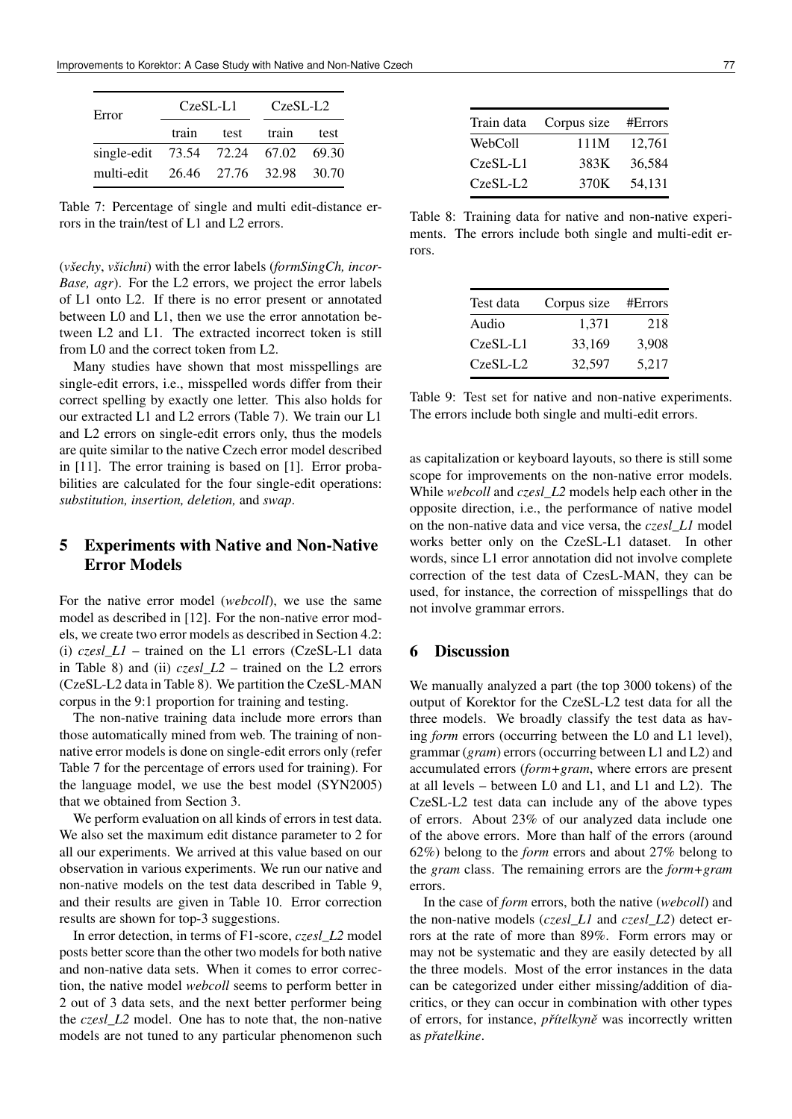| Error                               | $CzeSL-L1$            | CzeSL-L2 |  |  |  |
|-------------------------------------|-----------------------|----------|--|--|--|
|                                     | train test train test |          |  |  |  |
| single-edit 73.54 72.24 67.02 69.30 |                       |          |  |  |  |
| multi-edit 26.46 27.76 32.98 30.70  |                       |          |  |  |  |

Table 7: Percentage of single and multi edit-distance errors in the train/test of L1 and L2 errors.

(*všechy*, *všichni*) with the error labels (*formSingCh, incor-Base, agr*). For the L2 errors, we project the error labels of L1 onto L2. If there is no error present or annotated between L0 and L1, then we use the error annotation between L2 and L1. The extracted incorrect token is still from L0 and the correct token from L2.

Many studies have shown that most misspellings are single-edit errors, i.e., misspelled words differ from their correct spelling by exactly one letter. This also holds for our extracted L1 and L2 errors (Table 7). We train our L1 and L2 errors on single-edit errors only, thus the models are quite similar to the native Czech error model described in [11]. The error training is based on [1]. Error probabilities are calculated for the four single-edit operations: *substitution, insertion, deletion,* and *swap*.

## 5 Experiments with Native and Non-Native Error Models

For the native error model (*webcoll*), we use the same model as described in [12]. For the non-native error models, we create two error models as described in Section 4.2: (i) *czesl\_L1* – trained on the L1 errors (CzeSL-L1 data in Table 8) and (ii) *czesl\_L2* – trained on the L2 errors (CzeSL-L2 data in Table 8). We partition the CzeSL-MAN corpus in the 9:1 proportion for training and testing.

The non-native training data include more errors than those automatically mined from web. The training of nonnative error models is done on single-edit errors only (refer Table 7 for the percentage of errors used for training). For the language model, we use the best model (SYN2005) that we obtained from Section 3.

We perform evaluation on all kinds of errors in test data. We also set the maximum edit distance parameter to 2 for all our experiments. We arrived at this value based on our observation in various experiments. We run our native and non-native models on the test data described in Table 9, and their results are given in Table 10. Error correction results are shown for top-3 suggestions.

In error detection, in terms of F1-score, *czesl\_L2* model posts better score than the other two models for both native and non-native data sets. When it comes to error correction, the native model *webcoll* seems to perform better in 2 out of 3 data sets, and the next better performer being the *czesl\_L2* model. One has to note that, the non-native models are not tuned to any particular phenomenon such

| Train data Corpus size #Errors |        |
|--------------------------------|--------|
| 111M                           | 12.761 |
| 383K                           | 36,584 |
| 370K                           | 54.131 |
|                                |        |

Table 8: Training data for native and non-native experiments. The errors include both single and multi-edit errors.

| Test data  | Corpus size | #Errors |
|------------|-------------|---------|
| Audio      | 1.371       | 218     |
| CzeSL-L1   | 33.169      | 3.908   |
| $CzeSL-L2$ | 32.597      | 5.217   |

Table 9: Test set for native and non-native experiments. The errors include both single and multi-edit errors.

as capitalization or keyboard layouts, so there is still some scope for improvements on the non-native error models. While *webcoll* and *czesl\_L2* models help each other in the opposite direction, i.e., the performance of native model on the non-native data and vice versa, the *czesl\_L1* model works better only on the CzeSL-L1 dataset. In other words, since L1 error annotation did not involve complete correction of the test data of CzesL-MAN, they can be used, for instance, the correction of misspellings that do not involve grammar errors.

### 6 Discussion

We manually analyzed a part (the top 3000 tokens) of the output of Korektor for the CzeSL-L2 test data for all the three models. We broadly classify the test data as having *form* errors (occurring between the L0 and L1 level), grammar (*gram*) errors (occurring between L1 and L2) and accumulated errors (*form+gram*, where errors are present at all levels – between L0 and L1, and L1 and L2). The CzeSL-L2 test data can include any of the above types of errors. About 23% of our analyzed data include one of the above errors. More than half of the errors (around 62%) belong to the *form* errors and about 27% belong to the *gram* class. The remaining errors are the *form+gram* errors.

In the case of *form* errors, both the native (*webcoll*) and the non-native models (*czesl\_L1* and *czesl\_L2*) detect errors at the rate of more than 89%. Form errors may or may not be systematic and they are easily detected by all the three models. Most of the error instances in the data can be categorized under either missing/addition of diacritics, or they can occur in combination with other types of errors, for instance, *pˇrítelkynˇe* was incorrectly written as *pˇratelkine*.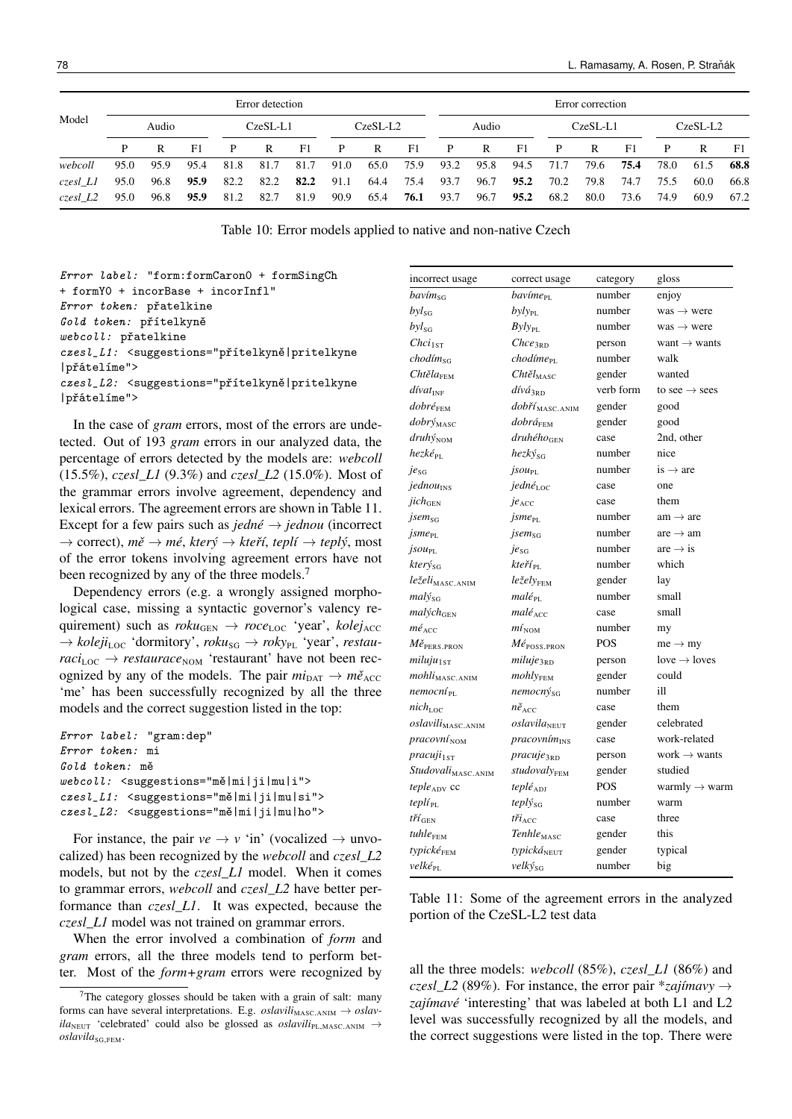|          | Error detection |       |      |      |               |      |              | Error correction |      |              |      |      |      |      |      |      |      |            |  |          |  |  |
|----------|-----------------|-------|------|------|---------------|------|--------------|------------------|------|--------------|------|------|------|------|------|------|------|------------|--|----------|--|--|
| Model    |                 | Audio |      |      | $CzeSI - I.1$ |      |              | $CzeSL-L2$       |      | Audio        |      |      |      |      |      |      |      | $CzeSL-L1$ |  | CzeSL-L2 |  |  |
|          | P               | R     | F1   | P    | R             | F1   | $\mathbf{P}$ | R                | F1   | $\mathbf{P}$ | R    | F1   | P    | R    | F1   | P    | R    | F1.        |  |          |  |  |
| webcoll  | 95.0            | 95.9  | 95.4 | 81.8 | 81.7          | 81.7 | 91.0         | 65.0             | 75.9 | 93.2         | 95.8 | 94.5 | 71.7 | 79.6 | 75.4 | 78.0 | 61.5 | 68.8       |  |          |  |  |
| czesl L1 | 95.0            | 96.8  | 95.9 | 82.2 | 82.2          | 82.2 | 91.1         | 64.4             | 75.4 | 93.7         | 96.7 | 95.2 | 70.2 | 79.8 | 74.7 | 75.5 | 60.0 | 66.8       |  |          |  |  |
| czesl L2 | 95.0            | 96.8  | 95.9 | 81.2 | 82.7          | 81.9 | 90.9         | 65.4             | 76.1 | 93.7         | 96.7 | 95.2 | 68.2 | 80.0 | 73.6 | 74.9 | 60.9 | 67.2       |  |          |  |  |

Table 10: Error models applied to native and non-native Czech

Error label: "form:formCaron0 + formSingCh + formY0 + incorBase + incorInfl" Error token: přatelkine Gold token: přítelkyně webcoll: přatelkine czesl\_L1: <suggestions="přítelkyně|pritelkyne |přátelíme"> czesl\_L2: <suggestions="přítelkyně|pritelkyne |přátelíme">

In the case of *gram* errors, most of the errors are undetected. Out of 193 *gram* errors in our analyzed data, the percentage of errors detected by the models are: *webcoll* (15.5%), *czesl\_L1* (9.3%) and *czesl\_L2* (15.0%). Most of the grammar errors involve agreement, dependency and lexical errors. The agreement errors are shown in Table 11. Except for a few pairs such as  $\text{j}edn\text{e} \rightarrow \text{j}edn\text{o} \text{u}$  (incorrect → correct), *mˇe* → *mé*, *který* → *kteˇrí*, *teplí* → *teplý*, most of the error tokens involving agreement errors have not been recognized by any of the three models.<sup>7</sup>

Dependency errors (e.g. a wrongly assigned morphological case, missing a syntactic governor's valency requirement) such as  $\text{row}_{\text{GEN}} \rightarrow \text{row}_{\text{LOC}}$  'year',  $\text{kolej}_{\text{ACC}}$  $\rightarrow$  *koleji*<sub>LOC</sub> 'dormitory', *roku*<sub>SG</sub>  $\rightarrow$  *roky*<sub>PL</sub> 'year', *restau* $raci_{\text{LOC}} \rightarrow \text{restaurace}_{\text{NOM}}$  'restaurant' have not been recognized by any of the models. The pair  $mi_{\text{DAT}} \rightarrow m\check{e}_{\text{ACC}}$ 'me' has been successfully recognized by all the three models and the correct suggestion listed in the top:

| <i>Error label:</i> "gram:dep"                                          |
|-------------------------------------------------------------------------|
| Error token: mi                                                         |
| Gold token: mě                                                          |
| $webcoll:$ $\leq$ suggestions="mě mi ji mu i">                          |
| czesl_L1: <suggestions="mě mi ji mu si"></suggestions="mě mi ji mu si"> |
| czesl_L2: <suggestions="mě mi ji mu ho"></suggestions="mě mi ji mu ho"> |

For instance, the pair  $ve \rightarrow v$  'in' (vocalized  $\rightarrow$  unvocalized) has been recognized by the *webcoll* and *czesl\_L2* models, but not by the *czesl\_L1* model. When it comes to grammar errors, *webcoll* and *czesl\_L2* have better performance than *czesl\_L1*. It was expected, because the *czesl\_L1* model was not trained on grammar errors.

When the error involved a combination of *form* and *gram* errors, all the three models tend to perform better. Most of the *form+gram* errors were recognized by

| incorrect usage                               | correct usage                           | category   | gloss                     |
|-----------------------------------------------|-----------------------------------------|------------|---------------------------|
| $bav$ ím <sub>sG</sub>                        | bavíme <sub>PL</sub>                    | number     | enjoy                     |
| $byl_{SG}$                                    | $byly_{PL}$                             | number     | $was \rightarrow were$    |
| $byl_{SG}$                                    | $Byly_{PL}$                             | number     | $was \rightarrow were$    |
| Chci <sub>1ST</sub>                           | $\mathcal{C}$ <i>hce</i> <sub>3RD</sub> | person     | want $\rightarrow$ wants  |
| chodím <sub>SG</sub>                          | chodíme <sub>PL</sub>                   | number     | walk                      |
| $\mathcal{C}$ htěla <sub>FEM</sub>            | $Cht\check{e}l_{\text{MASC}}$           | gender     | wanted                    |
| $divat_{\text{INF}}$                          | dívá <sub>3RD</sub>                     | verb form  | to see $\rightarrow$ sees |
| $dobr\acute{e}_{\rm FEM}$                     | dobří <sub>MASC.ANIM</sub>              | gender     | good                      |
| dobrý <sub>MASC</sub>                         | dobrá <sub>FEM</sub>                    | gender     | good                      |
| druhýNOM                                      | $druh\n\acute{e}ho$ <sub>GEN</sub>      | case       | 2nd, other                |
| $hez k \acute{e}_{\text{PL}}$                 | hezkýsa                                 | number     | nice                      |
| $ie_{SG}$                                     | <i>jsou</i> <sub>PL</sub>               | number     | is $\rightarrow$ are      |
| jednou <sub>INS</sub>                         | jedné $_{\text{loc}}$                   | case       | one                       |
| jich <sub>GEN</sub>                           | je <sub>ACC</sub>                       | case       | them                      |
| <i>jsem</i> <sub>sG</sub>                     | <i>jsme</i> <sub>PL</sub>               | number     | $am \rightarrow are$      |
| $j$ sme $_{PL}$                               | <i>jsem</i> <sub>sG</sub>               | number     | are $\rightarrow$ am      |
| $jsou_{\rm PL}$                               | je <sub>SG</sub>                        | number     | are $\rightarrow$ is      |
| $kter \hat{y}_{SG}$                           | kteří <sub>PL</sub>                     | number     | which                     |
| $le \v zeli_{\text{MASC.ANIM}}$               | leželv <sub>FFM</sub>                   | gender     | lay                       |
| $mal{y}_{SG}$                                 | $mal\'{e}_{\rm PL}$                     | number     | small                     |
| malých <sub>GEN</sub>                         | malé <sub>ACC</sub>                     | case       | small                     |
| $m\acute{e}_{\rm ACC}$                        | $m i_{\textsc{nom}}$                    | number     | my                        |
| $M\check{e}_{\text{PERS.PRON}}$               | $M\acute{e}_{\text{POSS.PRON}}$         | POS        | $me \rightarrow my$       |
| miluju <sub>1ST</sub>                         | miluje <sub>3RD</sub>                   | person     | $love \rightarrow loves$  |
| $mohli_{\rm MASC. ANIM}$                      | $mohl_{YFEM}$                           | gender     | could                     |
| nemocní <sub>PL</sub>                         | nemocnýsG                               | number     | ill                       |
| nich <sub>L</sub>                             | $n\check{e}_{\text{acc}}$               | case       | them                      |
| oslavili <sub>MASC.ANIM</sub>                 | oslavila <sub>NEUT</sub>                | gender     | celebrated                |
| pracovní NOM                                  | pracovním <sub>INS</sub>                | case       | work-related              |
| $pracuji_{1ST}$                               | pracuje <sub>3RD</sub>                  | person     | work $\rightarrow$ wants  |
| Studovali <sub>MASC.ANIM</sub>                | studovalyFEM                            | gender     | studied                   |
| $tepleADV$ cc                                 | $tepl\acute{e}_{ADI}$                   | <b>POS</b> | warmly $\rightarrow$ warm |
| teplí <sub>PL</sub>                           | teplýsg                                 | number     | warm                      |
| $t\check{r}\check{\iota}_{\text{\tiny{GEN}}}$ | $t\check{r}i_{\text{ACC}}$              | case       | three                     |
| tuhle <sub>FEM</sub>                          | Tenhle <sub>MASC</sub>                  | gender     | this                      |
| typické <sub>FEM</sub>                        | typickáNEUT                             | gender     | typical                   |
| velké <sub>PL</sub>                           | velký <sub>sG</sub>                     | number     | big                       |

Table 11: Some of the agreement errors in the analyzed portion of the CzeSL-L2 test data

all the three models: *webcoll* (85%), *czesl\_L1* (86%) and *czesl\_L2* (89%). For instance, the error pair  $*$ *zajímavy*  $\rightarrow$ *zajímavé* 'interesting' that was labeled at both L1 and L2 level was successfully recognized by all the models, and the correct suggestions were listed in the top. There were

<sup>&</sup>lt;sup>7</sup>The category glosses should be taken with a grain of salt: many forms can have several interpretations. E.g. *oslavili*<sub>MASC.ANIM</sub>  $\rightarrow$  *oslav* $ila<sub>NEUT</sub>$  'celebrated' could also be glossed as *oslavili*<sub>PL,MASC.ANIM</sub>  $\rightarrow$  $oslavila_{SG,FEM}.$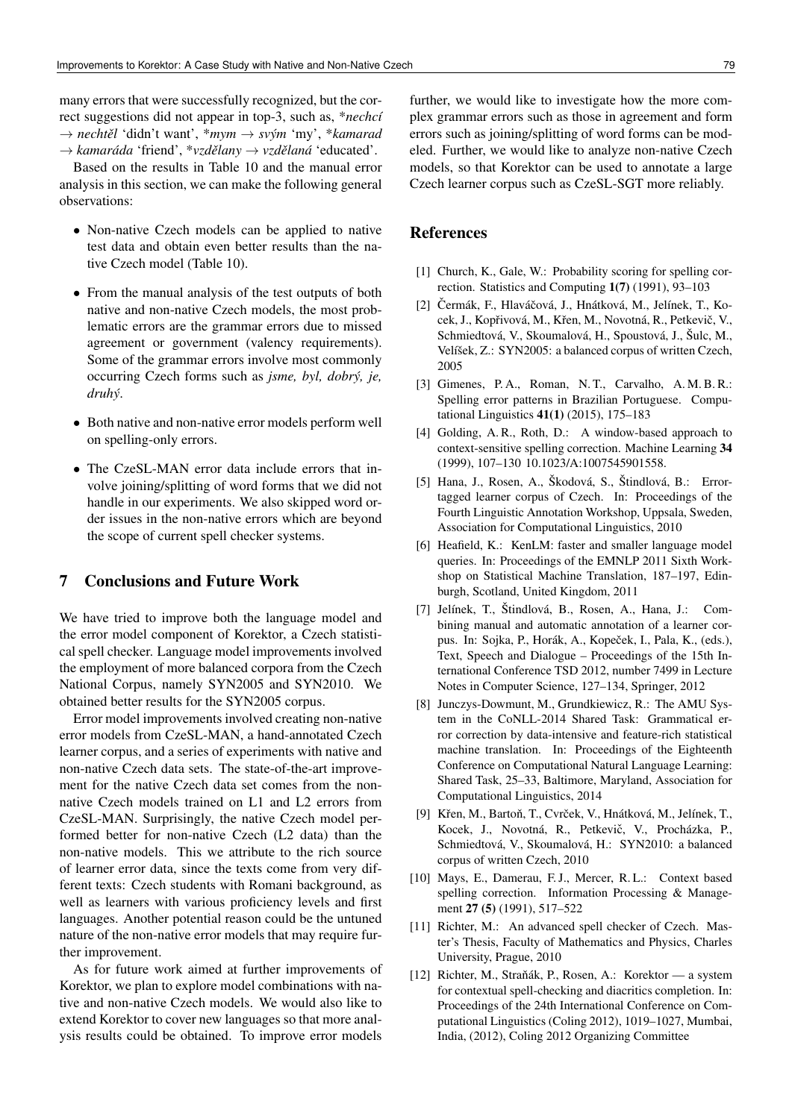many errors that were successfully recognized, but the correct suggestions did not appear in top-3, such as, \**nechcí* → *nechtˇel* 'didn't want', \**mym* → *svým* 'my', \**kamarad*  $→$  *kamaráda* 'friend', \**vzdělany* → *vzdělaná* 'educated'.

Based on the results in Table 10 and the manual error analysis in this section, we can make the following general observations:

- Non-native Czech models can be applied to native test data and obtain even better results than the native Czech model (Table 10).
- From the manual analysis of the test outputs of both native and non-native Czech models, the most problematic errors are the grammar errors due to missed agreement or government (valency requirements). Some of the grammar errors involve most commonly occurring Czech forms such as *jsme, byl, dobrý, je, druhý*.
- Both native and non-native error models perform well on spelling-only errors.
- The CzeSL-MAN error data include errors that involve joining/splitting of word forms that we did not handle in our experiments. We also skipped word order issues in the non-native errors which are beyond the scope of current spell checker systems.

### 7 Conclusions and Future Work

We have tried to improve both the language model and the error model component of Korektor, a Czech statistical spell checker. Language model improvements involved the employment of more balanced corpora from the Czech National Corpus, namely SYN2005 and SYN2010. We obtained better results for the SYN2005 corpus.

Error model improvements involved creating non-native error models from CzeSL-MAN, a hand-annotated Czech learner corpus, and a series of experiments with native and non-native Czech data sets. The state-of-the-art improvement for the native Czech data set comes from the nonnative Czech models trained on L1 and L2 errors from CzeSL-MAN. Surprisingly, the native Czech model performed better for non-native Czech (L2 data) than the non-native models. This we attribute to the rich source of learner error data, since the texts come from very different texts: Czech students with Romani background, as well as learners with various proficiency levels and first languages. Another potential reason could be the untuned nature of the non-native error models that may require further improvement.

As for future work aimed at further improvements of Korektor, we plan to explore model combinations with native and non-native Czech models. We would also like to extend Korektor to cover new languages so that more analysis results could be obtained. To improve error models

further, we would like to investigate how the more complex grammar errors such as those in agreement and form errors such as joining/splitting of word forms can be modeled. Further, we would like to analyze non-native Czech models, so that Korektor can be used to annotate a large Czech learner corpus such as CzeSL-SGT more reliably.

### References

- [1] Church, K., Gale, W.: Probability scoring for spelling correction. Statistics and Computing 1(7) (1991), 93–103
- [2] Čermák, F., Hlaváčová, J., Hnátková, M., Jelínek, T., Kocek, J., Kopřivová, M., Křen, M., Novotná, R., Petkevič, V., Schmiedtová, V., Skoumalová, H., Spoustová, J., Šulc, M., Velíšek, Z.: SYN2005: a balanced corpus of written Czech, 2005
- [3] Gimenes, P.A., Roman, N.T., Carvalho, A.M.B.R.: Spelling error patterns in Brazilian Portuguese. Computational Linguistics 41(1) (2015), 175–183
- [4] Golding, A. R., Roth, D.: A window-based approach to context-sensitive spelling correction. Machine Learning 34 (1999), 107–130 10.1023/A:1007545901558.
- [5] Hana, J., Rosen, A., Škodová, S., Štindlová, B.: Errortagged learner corpus of Czech. In: Proceedings of the Fourth Linguistic Annotation Workshop, Uppsala, Sweden, Association for Computational Linguistics, 2010
- [6] Heafield, K.: KenLM: faster and smaller language model queries. In: Proceedings of the EMNLP 2011 Sixth Workshop on Statistical Machine Translation, 187–197, Edinburgh, Scotland, United Kingdom, 2011
- [7] Jelínek, T., Štindlová, B., Rosen, A., Hana, J.: Combining manual and automatic annotation of a learner corpus. In: Sojka, P., Horák, A., Kopeček, I., Pala, K., (eds.), Text, Speech and Dialogue – Proceedings of the 15th International Conference TSD 2012, number 7499 in Lecture Notes in Computer Science, 127–134, Springer, 2012
- [8] Junczys-Dowmunt, M., Grundkiewicz, R.: The AMU System in the CoNLL-2014 Shared Task: Grammatical error correction by data-intensive and feature-rich statistical machine translation. In: Proceedings of the Eighteenth Conference on Computational Natural Language Learning: Shared Task, 25–33, Baltimore, Maryland, Association for Computational Linguistics, 2014
- [9] Křen, M., Bartoň, T., Cvrček, V., Hnátková, M., Jelínek, T., Kocek, J., Novotná, R., Petkevič, V., Procházka, P., Schmiedtová, V., Skoumalová, H.: SYN2010: a balanced corpus of written Czech, 2010
- [10] Mays, E., Damerau, F.J., Mercer, R.L.: Context based spelling correction. Information Processing & Management 27 (5) (1991), 517–522
- [11] Richter, M.: An advanced spell checker of Czech. Master's Thesis, Faculty of Mathematics and Physics, Charles University, Prague, 2010
- [12] Richter, M., Straňák, P., Rosen, A.: Korektor a system for contextual spell-checking and diacritics completion. In: Proceedings of the 24th International Conference on Computational Linguistics (Coling 2012), 1019–1027, Mumbai, India, (2012), Coling 2012 Organizing Committee